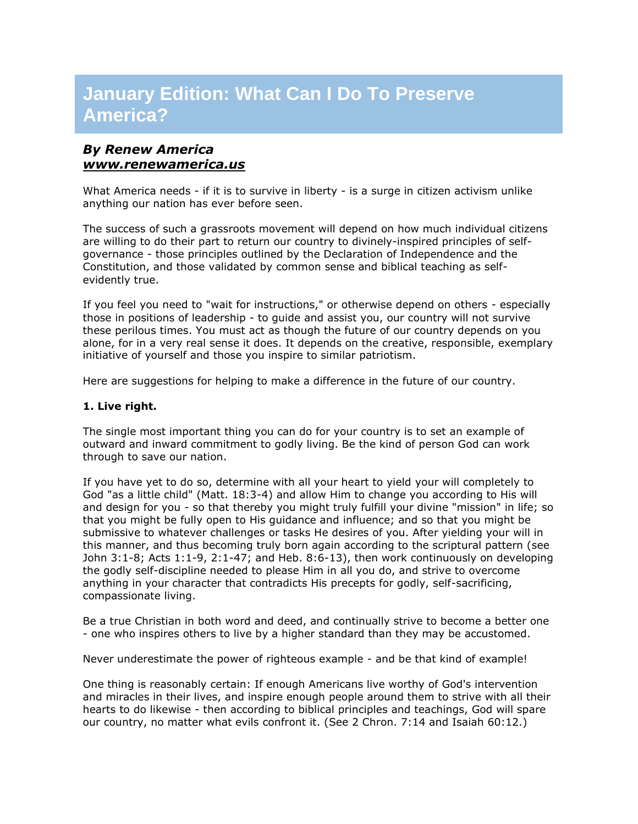# **January Edition: What Can I Do To Preserve America?**

# *By Renew America [www.renewamerica.us](http://rs6.net/tn.jsp?t=iibedxcab.0.0.4h4hhncab.0&p=http%3A%2F%2Fwww.renewamerica.us%2F&id=preview)*

What America needs - if it is to survive in liberty - is a surge in citizen activism unlike anything our nation has ever before seen.

The success of such a grassroots movement will depend on how much individual citizens are willing to do their part to return our country to divinely-inspired principles of selfgovernance - those principles outlined by the Declaration of Independence and the Constitution, and those validated by common sense and biblical teaching as selfevidently true.

If you feel you need to "wait for instructions," or otherwise depend on others - especially those in positions of leadership - to guide and assist you, our country will not survive these perilous times. You must act as though the future of our country depends on you alone, for in a very real sense it does. It depends on the creative, responsible, exemplary initiative of yourself and those you inspire to similar patriotism.

Here are suggestions for helping to make a difference in the future of our country.

#### **1. Live right.**

The single most important thing you can do for your country is to set an example of outward and inward commitment to godly living. Be the kind of person God can work through to save our nation.

If you have yet to do so, determine with all your heart to yield your will completely to God "as a little child" (Matt. 18:3-4) and allow Him to change you according to His will and design for you - so that thereby you might truly fulfill your divine "mission" in life; so that you might be fully open to His guidance and influence; and so that you might be submissive to whatever challenges or tasks He desires of you. After yielding your will in this manner, and thus becoming truly born again according to the scriptural pattern (see John 3:1-8; Acts 1:1-9, 2:1-47; and Heb. 8:6-13), then work continuously on developing the godly self-discipline needed to please Him in all you do, and strive to overcome anything in your character that contradicts His precepts for godly, self-sacrificing, compassionate living.

Be a true Christian in both word and deed, and continually strive to become a better one - one who inspires others to live by a higher standard than they may be accustomed.

Never underestimate the power of righteous example - and be that kind of example!

One thing is reasonably certain: If enough Americans live worthy of God's intervention and miracles in their lives, and inspire enough people around them to strive with all their hearts to do likewise - then according to biblical principles and teachings, God will spare our country, no matter what evils confront it. (See 2 Chron. 7:14 and Isaiah 60:12.)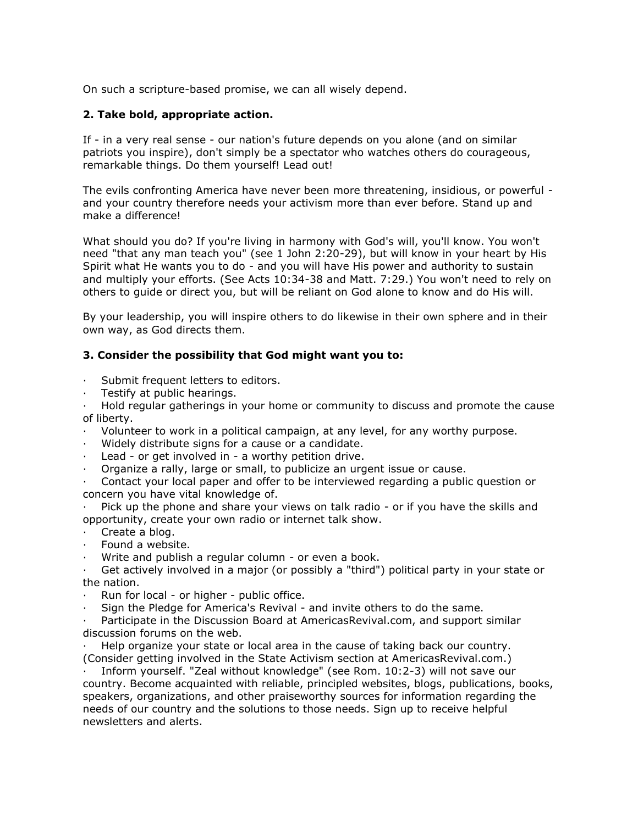On such a scripture-based promise, we can all wisely depend.

## **2. Take bold, appropriate action.**

If - in a very real sense - our nation's future depends on you alone (and on similar patriots you inspire), don't simply be a spectator who watches others do courageous, remarkable things. Do them yourself! Lead out!

The evils confronting America have never been more threatening, insidious, or powerful and your country therefore needs your activism more than ever before. Stand up and make a difference!

What should you do? If you're living in harmony with God's will, you'll know. You won't need "that any man teach you" (see 1 John 2:20-29), but will know in your heart by His Spirit what He wants you to do - and you will have His power and authority to sustain and multiply your efforts. (See Acts 10:34-38 and Matt. 7:29.) You won't need to rely on others to guide or direct you, but will be reliant on God alone to know and do His will.

By your leadership, you will inspire others to do likewise in their own sphere and in their own way, as God directs them.

#### **3. Consider the possibility that God might want you to:**

- · Submit frequent letters to editors.
- · Testify at public hearings.

· Hold regular gatherings in your home or community to discuss and promote the cause of liberty.

- · Volunteer to work in a political campaign, at any level, for any worthy purpose.
- · Widely distribute signs for a cause or a candidate.
- Lead or get involved in a worthy petition drive.
- · Organize a rally, large or small, to publicize an urgent issue or cause.

Contact your local paper and offer to be interviewed regarding a public question or concern you have vital knowledge of.

Pick up the phone and share your views on talk radio - or if you have the skills and opportunity, create your own radio or internet talk show.

- · Create a blog.
- Found a website.
- Write and publish a regular column or even a book.

Get actively involved in a major (or possibly a "third") political party in your state or the nation.

Run for local - or higher - public office.

Sign the Pledge for America's Revival - and invite others to do the same.

Participate in the Discussion Board at AmericasRevival.com, and support similar discussion forums on the web.

Help organize your state or local area in the cause of taking back our country. (Consider getting involved in the State Activism section at AmericasRevival.com.)

· Inform yourself. "Zeal without knowledge" (see Rom. 10:2-3) will not save our country. Become acquainted with reliable, principled websites, blogs, publications, books, speakers, organizations, and other praiseworthy sources for information regarding the needs of our country and the solutions to those needs. Sign up to receive helpful newsletters and alerts.